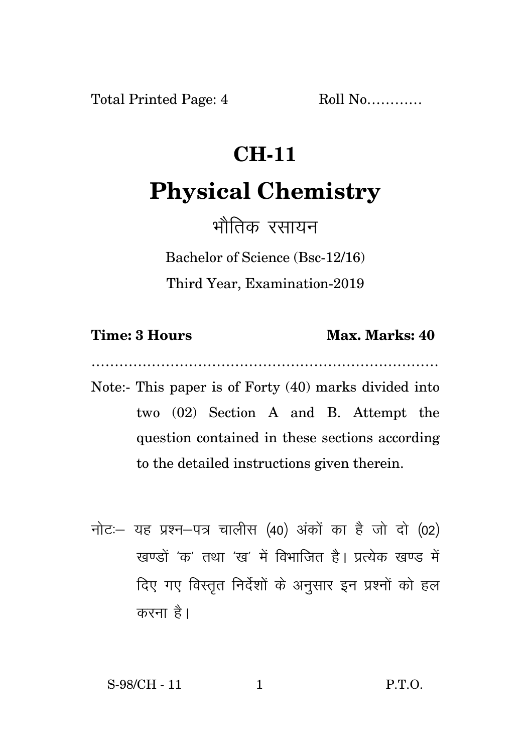Total Printed Page: 4 Roll No...........

## **CH-11**

## **Physical Chemistry**

भौतिक रसायन

Bachelor of Science (Bsc-12/16) Third Year, Examination-2019

## **Time: 3 Hours Max. Marks: 40**

…………………………………………………………………

- Note:- This paper is of Forty (40) marks divided into two (02) Section A and B. Attempt the question contained in these sections according to the detailed instructions given therein.
- $\vec{\eta}$ नोटः यह प्रश्न-पत्र चालीस (40) अंकों का है जो दो (02)  $\vec{k}$ खण्डों 'क' तथा 'ख' में विभाजित है। पत्येक खण्ड में दिए गए विस्तृत निर्देशों के अनुसार इन प्रश्नों को हल करना है।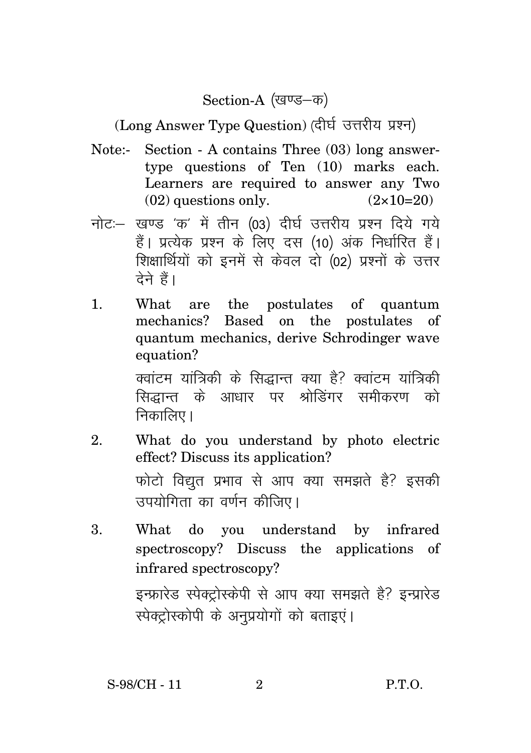Section-A (खण्ड–क)

(Long Answer Type Question) (दीर्घ उत्तरीय प्रश्न)

- Note:- Section A contains Three (03) long answertype questions of Ten (10) marks each. Learners are required to answer any Two  $(02)$  questions only.  $(2 \times 10=20)$
- नोट: खण्ड 'क' में तीन (03) दीर्घ उत्तरीय प्रश्न दिये गये हैं। प्रत्येक प्रश्न के लिए दस (10) अंक निर्धारित हैं। शिक्षार्थियों को इनमें से केवल दो (02) प्रश्नों के उत्तर  $\vec{a}$ ने हैं।
- 1. What are the postulates of quantum mechanics? Based on the postulates of quantum mechanics, derive Schrodinger wave equation?

क्वांटम यांत्रिकी के सिद्धान्त क्या है? क्वांटम यांत्रिकी सिद्धान्त के आधार पर श्रोडिंगर समीकरण को निकालिए ।

- 2. What do you understand by photo electric effect? Discuss its application? फोटो विद्यत प्रभाव से आप क्या समझते है? इसकी उपयोगिता का वर्णन कीजिए।
- 3. What do you understand by infrared spectroscopy? Discuss the applications of infrared spectroscopy?

इन्फ्रारेड स्पेक्टोस्केपी से आप क्या समझते है? इन्प्रारेड स्पेक्टोस्कोपी के अनप्रयोगों को बताइएं।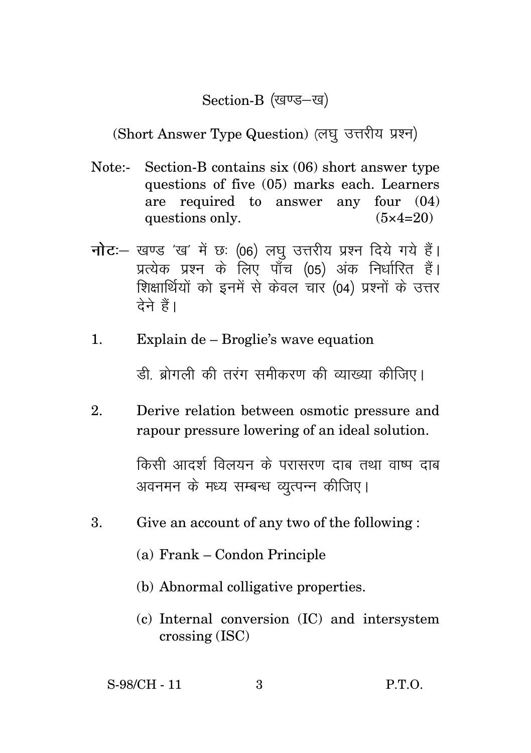## Section-B (खण्ड–ख)

(Short Answer Type Question) (लघ उत्तरीय प्रश्न)

- Note:- Section-B contains six (06) short answer type questions of five (05) marks each. Learners are required to answer any four (04) questions only.  $(5 \times 4=20)$
- **नोट**: खण्ड 'ख' में छः (06) लघु उत्तरीय प्रश्न दिये गये हैं। प्रत्येक प्रश्न के लिए पाँच (05) अंक निर्धारित हैं। शिक्षार्थियों को इनमें से केवल चार (04) प्रश्नों के उत्तर देने हैं।
- 1. Explain de Broglie's wave equation

डी बोगली की तरंग समीकरण की व्याख्या कीजिए।

2. Derive relation between osmotic pressure and rapour pressure lowering of an ideal solution.

> किसी आदर्श विलयन के परासरण दाब तथा वाष्प दाब अवनमन के मध्य सम्बन्ध व्यत्पन्न कीजिए।

- 3. Give an account of any two of the following :
	- (a) Frank Condon Principle
	- (b) Abnormal colligative properties.
	- (c) Internal conversion (IC) and intersystem crossing (ISC)

S-98/CH - 11 3 P.T.O.